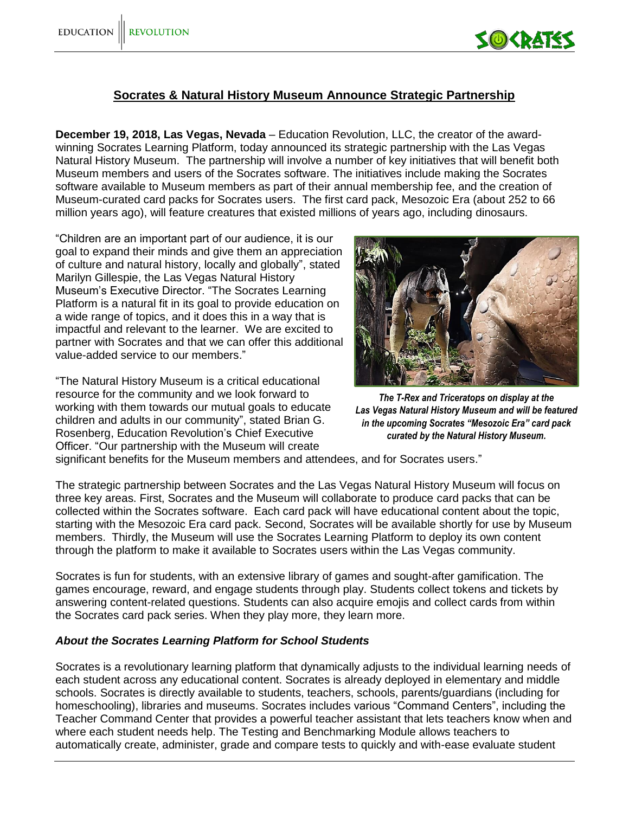

## **Socrates & Natural History Museum Announce Strategic Partnership**

**December 19, 2018, Las Vegas, Nevada** – Education Revolution, LLC, the creator of the awardwinning Socrates Learning Platform, today announced its strategic partnership with the Las Vegas Natural History Museum. The partnership will involve a number of key initiatives that will benefit both Museum members and users of the Socrates software. The initiatives include making the Socrates software available to Museum members as part of their annual membership fee, and the creation of Museum-curated card packs for Socrates users. The first card pack, Mesozoic Era (about 252 to 66 million years ago), will feature creatures that existed millions of years ago, including dinosaurs.

"Children are an important part of our audience, it is our goal to expand their minds and give them an appreciation of culture and natural history, locally and globally", stated Marilyn Gillespie, the Las Vegas Natural History Museum's Executive Director. "The Socrates Learning Platform is a natural fit in its goal to provide education on a wide range of topics, and it does this in a way that is impactful and relevant to the learner. We are excited to partner with Socrates and that we can offer this additional value-added service to our members."

"The Natural History Museum is a critical educational resource for the community and we look forward to working with them towards our mutual goals to educate children and adults in our community", stated Brian G. Rosenberg, Education Revolution's Chief Executive Officer. "Our partnership with the Museum will create



*The T-Rex and Triceratops on display at the Las Vegas Natural History Museum and will be featured in the upcoming Socrates "Mesozoic Era" card pack curated by the Natural History Museum.*

significant benefits for the Museum members and attendees, and for Socrates users."

The strategic partnership between Socrates and the Las Vegas Natural History Museum will focus on three key areas. First, Socrates and the Museum will collaborate to produce card packs that can be collected within the Socrates software. Each card pack will have educational content about the topic, starting with the Mesozoic Era card pack. Second, Socrates will be available shortly for use by Museum members. Thirdly, the Museum will use the Socrates Learning Platform to deploy its own content through the platform to make it available to Socrates users within the Las Vegas community.

Socrates is fun for students, with an extensive library of games and sought-after gamification. The games encourage, reward, and engage students through play. Students collect tokens and tickets by answering content-related questions. Students can also acquire emojis and collect cards from within the Socrates card pack series. When they play more, they learn more.

## *About the Socrates Learning Platform for School Students*

Socrates is a revolutionary learning platform that dynamically adjusts to the individual learning needs of each student across any educational content. Socrates is already deployed in elementary and middle schools. Socrates is directly available to students, teachers, schools, parents/guardians (including for homeschooling), libraries and museums. Socrates includes various "Command Centers", including the Teacher Command Center that provides a powerful teacher assistant that lets teachers know when and where each student needs help. The Testing and Benchmarking Module allows teachers to automatically create, administer, grade and compare tests to quickly and with-ease evaluate student